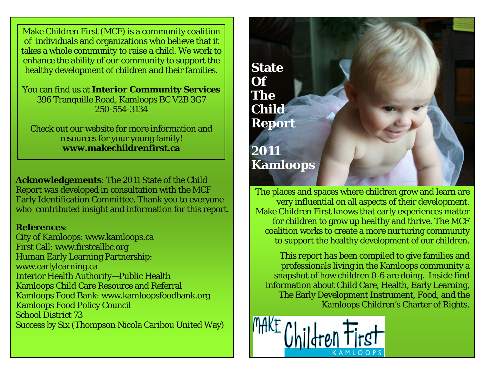Make Children First (MCF) is a community coalition of individuals and organizations who believe that it takes a whole community to raise a child. We work to enhance the ability of our community to support the healthy development of children and their families.

You can find us at **Interior Community Services**  396 Tranquille Road, Kamloops BC V2B 3G7 250-554-3134

Check out our website for more information and resources for your young family! **www.makechildrenfirst.ca** 

**Acknowledgements**: The 2011 State of the Child Report was developed in consultation with the MCF Early Identification Committee. Thank you to everyone who contributed insight and information for this report.

## **References**:

City of Kamloops: www.kamloops.ca First Call: www.firstcallbc.org Human Early Learning Partnership: www.earlylearning.ca Interior Health Authority—Public Health Kamloops Child Care Resource and Referral Kamloops Food Bank: www.kamloopsfoodbank.org Kamloops Food Policy Council School District 73 Success by Six (Thompson Nicola Caribou United Way)



The places and spaces where children grow and learn are very influential on all aspects of their development. Make Children First knows that early experiences matter for children to grow up healthy and thrive. The MCF coalition works to create a more nurturing community to support the healthy development of our children.

This report has been compiled to give families and professionals living in the Kamloops community a snapshot of how children 0-6 are doing. Inside find information about Child Care, Health, Early Learning, The Early Development Instrument, Food, and the Kamloops Children's Charter of Rights.

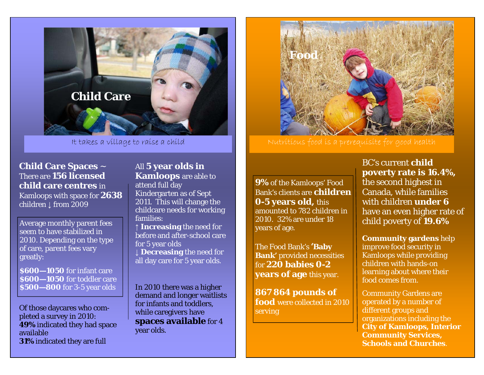

It takes a village to raise a child

**Child Care Spaces** <sup>~</sup> There are **156 licensed child care centres** in Kamloops with space for **2638** children ↓ from 2009

Average monthly parent fees seem to have stabilized in 2010. Depending on the type of care, parent fees vary greatly:

**\$600—1050** for infant care **\$600—1050** for toddler care **\$500—800** for 3-5 year olds **I** In 2010 there was a higher

Of those daycares who completed a survey in 2010: **49%** indicated they had space available **31%** indicated they are full

All **5 year olds in Kamloops** are able to attend full day Kindergarten as of Sept 2011. This will change the childcare needs for working families:

**↑ Increasing** the need for before and after-school care for 5 year olds **↓ Decreasing** the need for all day care for 5 year olds.

demand and longer waitlists for infants and toddlers, while caregivers have **spaces available** for 4 year olds.



**9%** of the Kamloops' Food Bank's clients are **children 0-5 years old,** this amounted to 782 children in 2010. 32% are under 18 years of age.

The Food Bank's **'Baby Bank'** provided necessities for **220 babies 0-2 years of age** this year.

**867 864 pounds of food** were collected in 2010 serving

BC's current **child poverty rate is 16.4%,** the second highest in Canada, while families with children **under 6** have an even higher rate of child poverty of **19.6%** 

**Community gardens** help improve food security in Kamloops while providing children with hands-on learning about where their food comes from.

Community Gardens are operated by a number of different groups and organizations including the **City of Kamloops, Interior Community Services, Schools and Churches**.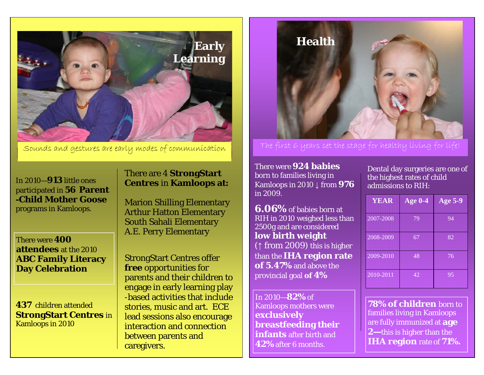

In 2010—**913** little ones participated in **56 Parent -Child Mother Goose** programs in Kamloops.

There were **400 attendees** at the 2010 **ABC Family Literacy Day Celebration** 

**437** children attended **StrongStart Centres** in Kamloops in 2010

## There are 4 **StrongStart Centres** in **Kamloops at:**

Marion Shilling Elementary Arthur Hatton Elementary South Sahali Elementary A.E. Perry Elementary

StrongStart Centres offer **free** opportunities for parents and their children to engage in early learning play -based activities that include stories, music and art. ECE lead sessions also encourage interaction and connection between parents and caregivers.



Sounds and gestures are early modes of communication The first 6 years set the stage for healthy living for life!

There were **924 babies** born to families living in Kamloops in 2010 ↓ from **976** in 2009.

**6.06%** of babies born at RIH in 2010 weighed less than 2500g and are considered **low birth weight**  (↑ from 2009) this is higher than the **IHA region rate of 5.47%** and above the provincial goal **of 4%**

In 2010—**82%** of Kamloops mothers were **exclusively breastfeeding their infants** after birth and **42%** after 6 months.

Dental day surgeries are one of the highest rates of child admissions to RIH:

| <b>YEAR</b> | Age $0-4$ | <b>Age 5-9</b> |
|-------------|-----------|----------------|
| 2007-2008   | 79        | 94             |
| 2008-2009   | 67        | 82             |
| 2009-2010   | 48        | 76             |
| 2010-2011   | 42        | 95             |

**78% of children** born to families living in Kamloops are fully immunized at **age 2—**this is higher than the **IHA region** rate of **71%.**